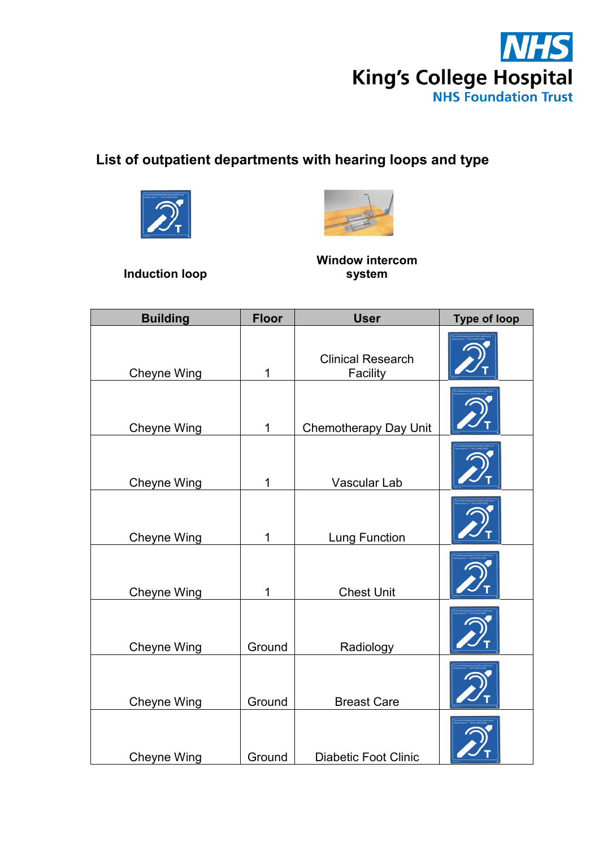

## **List of outpatient departments with hearing loops and type**





**Induction loop**

**Window intercom system**

| <b>Building</b>    | <b>Floor</b> | <b>User</b>                          | <b>Type of loop</b> |
|--------------------|--------------|--------------------------------------|---------------------|
| <b>Cheyne Wing</b> | 1            | <b>Clinical Research</b><br>Facility |                     |
| <b>Cheyne Wing</b> | $\mathbf{1}$ | <b>Chemotherapy Day Unit</b>         |                     |
| <b>Cheyne Wing</b> | 1            | Vascular Lab                         |                     |
| Cheyne Wing        | $\mathbf 1$  | <b>Lung Function</b>                 |                     |
| <b>Cheyne Wing</b> | 1            | <b>Chest Unit</b>                    |                     |
| <b>Cheyne Wing</b> | Ground       | Radiology                            |                     |
| <b>Cheyne Wing</b> | Ground       | <b>Breast Care</b>                   |                     |
| <b>Cheyne Wing</b> | Ground       | <b>Diabetic Foot Clinic</b>          |                     |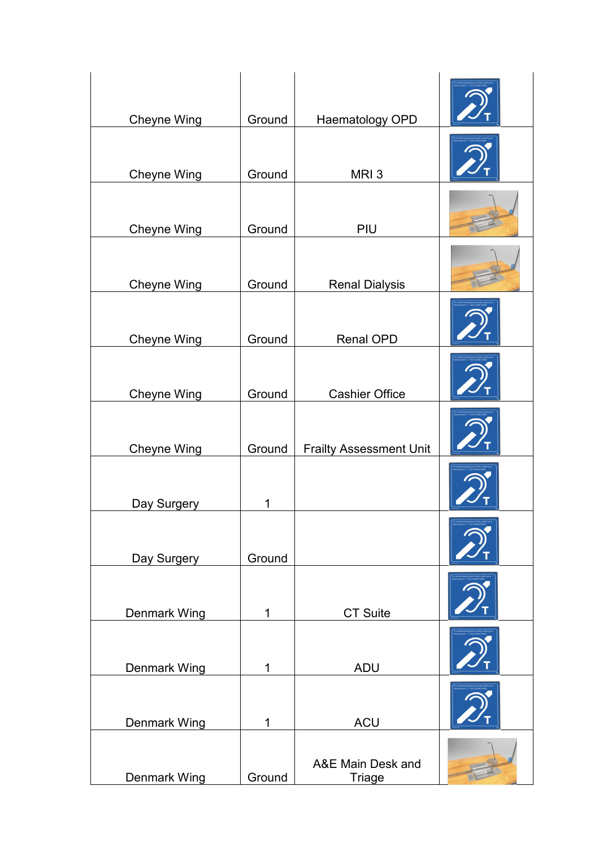| <b>Cheyne Wing</b>  | Ground       | Haematology OPD                |  |
|---------------------|--------------|--------------------------------|--|
| <b>Cheyne Wing</b>  | Ground       | MRI <sub>3</sub>               |  |
| <b>Cheyne Wing</b>  | Ground       | PIU                            |  |
| <b>Cheyne Wing</b>  | Ground       | <b>Renal Dialysis</b>          |  |
| <b>Cheyne Wing</b>  | Ground       | <b>Renal OPD</b>               |  |
| <b>Cheyne Wing</b>  | Ground       | <b>Cashier Office</b>          |  |
| <b>Cheyne Wing</b>  | Ground       | <b>Frailty Assessment Unit</b> |  |
| Day Surgery         | 1            |                                |  |
| Day Surgery         | Ground       |                                |  |
| <b>Denmark Wing</b> | 1            | <b>CT Suite</b>                |  |
| <b>Denmark Wing</b> | $\mathbf{1}$ | <b>ADU</b>                     |  |
| <b>Denmark Wing</b> | 1            | <b>ACU</b>                     |  |
| <b>Denmark Wing</b> | Ground       | A&E Main Desk and<br>Triage    |  |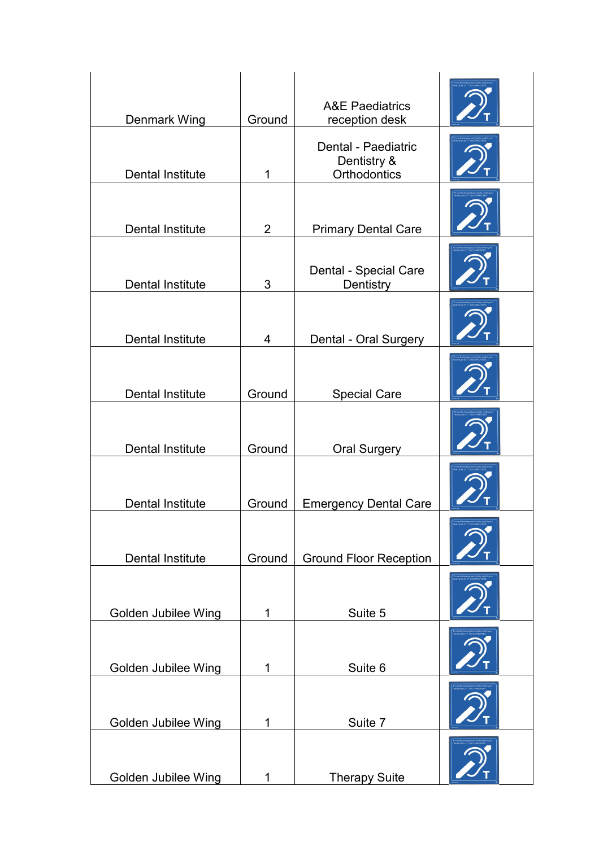| Denmark Wing               | Ground         | <b>A&amp;E Paediatrics</b><br>reception desk       |  |
|----------------------------|----------------|----------------------------------------------------|--|
| <b>Dental Institute</b>    | 1              | Dental - Paediatric<br>Dentistry &<br>Orthodontics |  |
| <b>Dental Institute</b>    | $\overline{2}$ | <b>Primary Dental Care</b>                         |  |
| <b>Dental Institute</b>    | 3              | Dental - Special Care<br>Dentistry                 |  |
| <b>Dental Institute</b>    | 4              | Dental - Oral Surgery                              |  |
| <b>Dental Institute</b>    | Ground         | <b>Special Care</b>                                |  |
| <b>Dental Institute</b>    | Ground         | <b>Oral Surgery</b>                                |  |
| <b>Dental Institute</b>    | Ground         | <b>Emergency Dental Care</b>                       |  |
| <b>Dental Institute</b>    | Ground         | <b>Ground Floor Reception</b>                      |  |
| <b>Golden Jubilee Wing</b> | 1              | Suite 5                                            |  |
| Golden Jubilee Wing        | 1              | Suite 6                                            |  |
| <b>Golden Jubilee Wing</b> | 1              | Suite 7                                            |  |
| Golden Jubilee Wing        | 1              | <b>Therapy Suite</b>                               |  |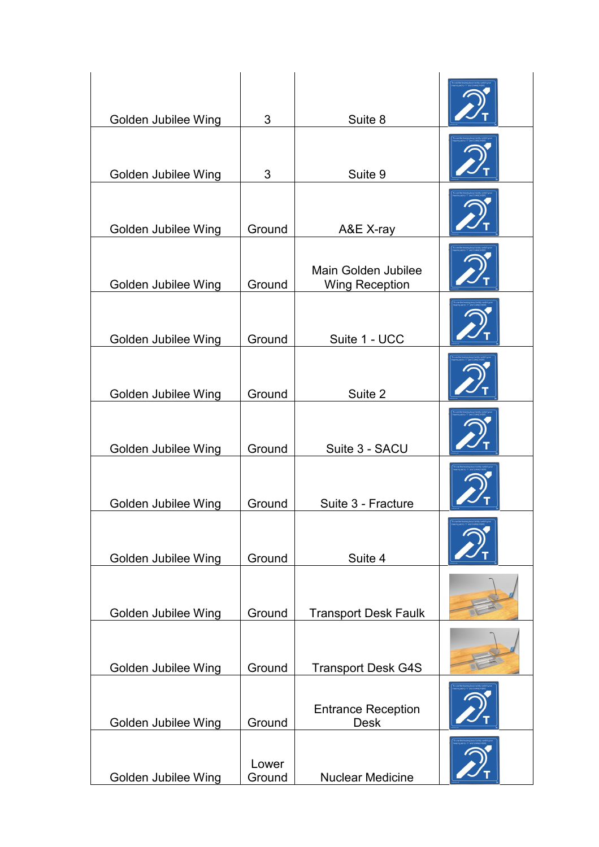| Golden Jubilee Wing | 3               | Suite 8                                      |  |
|---------------------|-----------------|----------------------------------------------|--|
| Golden Jubilee Wing | 3               | Suite 9                                      |  |
| Golden Jubilee Wing | Ground          | A&E X-ray                                    |  |
| Golden Jubilee Wing | Ground          | Main Golden Jubilee<br><b>Wing Reception</b> |  |
| Golden Jubilee Wing | Ground          | Suite 1 - UCC                                |  |
| Golden Jubilee Wing | Ground          | Suite 2                                      |  |
| Golden Jubilee Wing | Ground          | Suite 3 - SACU                               |  |
| Golden Jubilee Wing | Ground          | Suite 3 - Fracture                           |  |
| Golden Jubilee Wing | Ground          | Suite 4                                      |  |
| Golden Jubilee Wing | Ground          | <b>Transport Desk Faulk</b>                  |  |
| Golden Jubilee Wing | Ground          | <b>Transport Desk G4S</b>                    |  |
| Golden Jubilee Wing | Ground          | <b>Entrance Reception</b><br><b>Desk</b>     |  |
| Golden Jubilee Wing | Lower<br>Ground | <b>Nuclear Medicine</b>                      |  |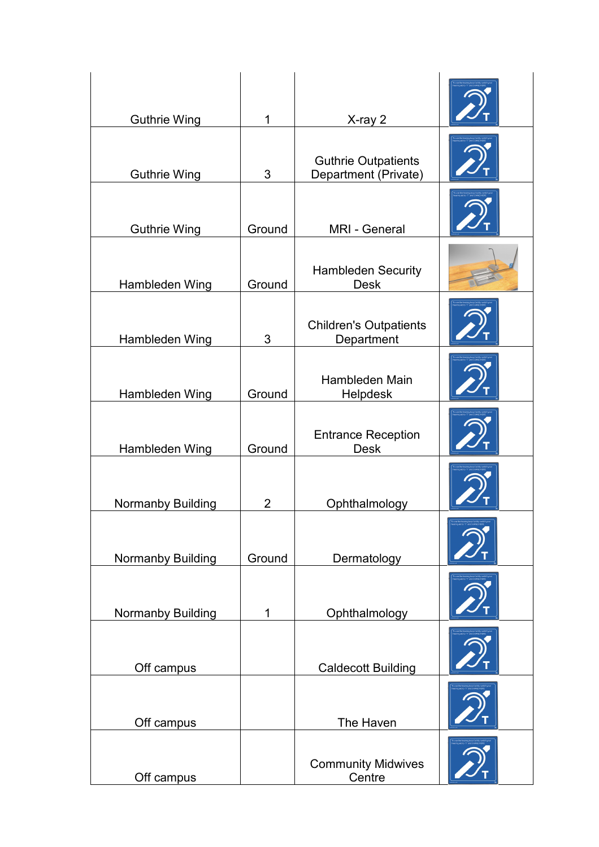| <b>Guthrie Wing</b>      | 1              | X-ray 2                                            |  |
|--------------------------|----------------|----------------------------------------------------|--|
| <b>Guthrie Wing</b>      | 3              | <b>Guthrie Outpatients</b><br>Department (Private) |  |
| <b>Guthrie Wing</b>      | Ground         | <b>MRI - General</b>                               |  |
| Hambleden Wing           | Ground         | <b>Hambleden Security</b><br><b>Desk</b>           |  |
| Hambleden Wing           | 3              | <b>Children's Outpatients</b><br>Department        |  |
| Hambleden Wing           | Ground         | Hambleden Main<br>Helpdesk                         |  |
| Hambleden Wing           | Ground         | <b>Entrance Reception</b><br><b>Desk</b>           |  |
| <b>Normanby Building</b> | $\overline{2}$ | Ophthalmology                                      |  |
| Normanby Building        | Ground         | Dermatology                                        |  |
| Normanby Building        | 1              | Ophthalmology                                      |  |
| Off campus               |                | <b>Caldecott Building</b>                          |  |
| Off campus               |                | The Haven                                          |  |
| Off campus               |                | <b>Community Midwives</b><br>Centre                |  |